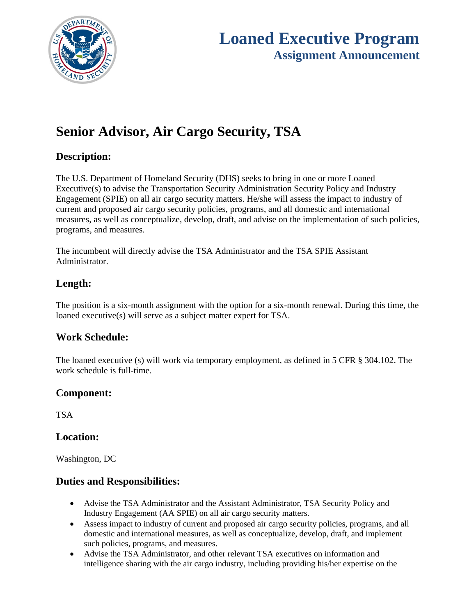

# **Loaned Executive Program Assignment Announcement**

# **Senior Advisor, Air Cargo Security, TSA**

### **Description:**

The U.S. Department of Homeland Security (DHS) seeks to bring in one or more Loaned Executive(s) to advise the Transportation Security Administration Security Policy and Industry Engagement (SPIE) on all air cargo security matters. He/she will assess the impact to industry of current and proposed air cargo security policies, programs, and all domestic and international measures, as well as conceptualize, develop, draft, and advise on the implementation of such policies, programs, and measures.

The incumbent will directly advise the TSA Administrator and the TSA SPIE Assistant Administrator.

## **Length:**

The position is a six-month assignment with the option for a six-month renewal. During this time, the loaned executive(s) will serve as a subject matter expert for TSA.

## **Work Schedule:**

The loaned executive (s) will work via temporary employment, as defined in 5 CFR § 304.102. The work schedule is full-time.

## **Component:**

**TSA** 

#### **Location:**

Washington, DC

#### **Duties and Responsibilities:**

- Advise the TSA Administrator and the Assistant Administrator, TSA Security Policy and Industry Engagement (AA SPIE) on all air cargo security matters.
- Assess impact to industry of current and proposed air cargo security policies, programs, and all domestic and international measures, as well as conceptualize, develop, draft, and implement such policies, programs, and measures.
- Advise the TSA Administrator, and other relevant TSA executives on information and intelligence sharing with the air cargo industry, including providing his/her expertise on the